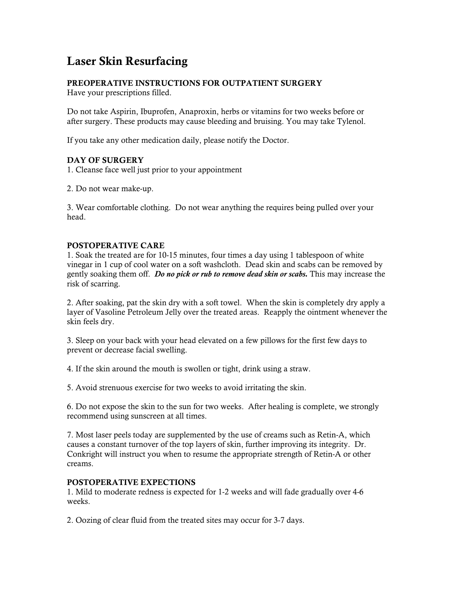# Laser Skin Resurfacing

## PREOPERATIVE INSTRUCTIONS FOR OUTPATIENT SURGERY

Have your prescriptions filled.

Do not take Aspirin, Ibuprofen, Anaproxin, herbs or vitamins for two weeks before or after surgery. These products may cause bleeding and bruising. You may take Tylenol.

If you take any other medication daily, please notify the Doctor.

### DAY OF SURGERY

1. Cleanse face well just prior to your appointment

2. Do not wear make-up.

3. Wear comfortable clothing. Do not wear anything the requires being pulled over your head.

### POSTOPERATIVE CARE

1. Soak the treated are for 10-15 minutes, four times a day using 1 tablespoon of white vinegar in 1 cup of cool water on a soft washcloth. Dead skin and scabs can be removed by gently soaking them off. *Do no pick or rub to remove dead skin or scabs.* This may increase the risk of scarring.

2. After soaking, pat the skin dry with a soft towel. When the skin is completely dry apply a layer of Vasoline Petroleum Jelly over the treated areas. Reapply the ointment whenever the skin feels dry.

3. Sleep on your back with your head elevated on a few pillows for the first few days to prevent or decrease facial swelling.

4. If the skin around the mouth is swollen or tight, drink using a straw.

5. Avoid strenuous exercise for two weeks to avoid irritating the skin.

6. Do not expose the skin to the sun for two weeks. After healing is complete, we strongly recommend using sunscreen at all times.

7. Most laser peels today are supplemented by the use of creams such as Retin-A, which causes a constant turnover of the top layers of skin, further improving its integrity. Dr. Conkright will instruct you when to resume the appropriate strength of Retin-A or other creams.

### POSTOPERATIVE EXPECTIONS

1. Mild to moderate redness is expected for 1-2 weeks and will fade gradually over 4-6 weeks.

2. Oozing of clear fluid from the treated sites may occur for 3-7 days.